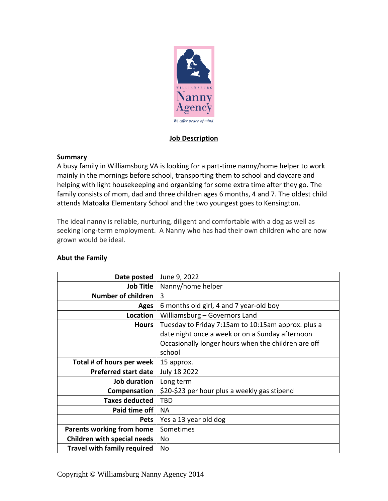

## **Job Description**

## **Summary**

A busy family in Williamsburg VA is looking for a part-time nanny/home helper to work mainly in the mornings before school, transporting them to school and daycare and helping with light housekeeping and organizing for some extra time after they go. The family consists of mom, dad and three children ages 6 months, 4 and 7. The oldest child attends Matoaka Elementary School and the two youngest goes to Kensington.

The ideal nanny is reliable, nurturing, diligent and comfortable with a dog as well as seeking long-term employment. A Nanny who has had their own children who are now grown would be ideal.

| Date posted                        | June 9, 2022                                        |
|------------------------------------|-----------------------------------------------------|
| <b>Job Title</b>                   | Nanny/home helper                                   |
| Number of children                 | 3                                                   |
| Ages                               | 6 months old girl, 4 and 7 year-old boy             |
| Location                           | Williamsburg - Governors Land                       |
| <b>Hours</b>                       | Tuesday to Friday 7:15am to 10:15am approx. plus a  |
|                                    | date night once a week or on a Sunday afternoon     |
|                                    | Occasionally longer hours when the children are off |
|                                    | school                                              |
| Total # of hours per week          | 15 approx.                                          |
| <b>Preferred start date</b>        | July 18 2022                                        |
| Job duration                       | Long term                                           |
| Compensation                       | \$20-\$23 per hour plus a weekly gas stipend        |
| <b>Taxes deducted</b>              | <b>TBD</b>                                          |
| Paid time off                      | <b>NA</b>                                           |
| <b>Pets</b>                        | Yes a 13 year old dog                               |
| <b>Parents working from home</b>   | Sometimes                                           |
| <b>Children with special needs</b> | No                                                  |
| <b>Travel with family required</b> | No                                                  |

## **Abut the Family**